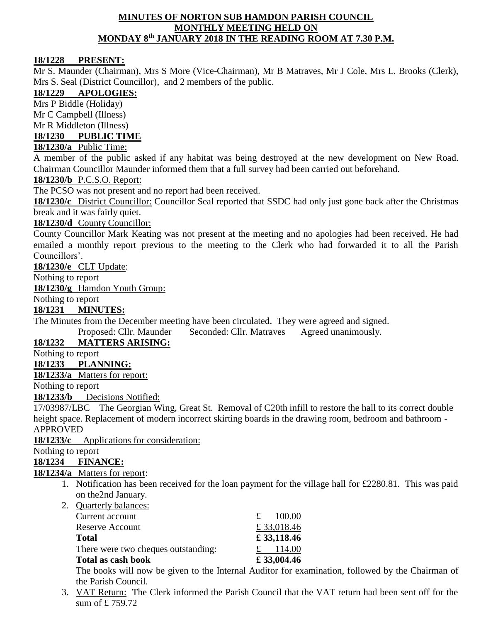#### **MINUTES OF NORTON SUB HAMDON PARISH COUNCIL MONTHLY MEETING HELD ON MONDAY 8 th JANUARY 2018 IN THE READING ROOM AT 7.30 P.M.**

### **18/1228 PRESENT:**

Mr S. Maunder (Chairman), Mrs S More (Vice-Chairman), Mr B Matraves, Mr J Cole, Mrs L. Brooks (Clerk), Mrs S. Seal (District Councillor), and 2 members of the public.

## **18/1229 APOLOGIES:**

Mrs P Biddle (Holiday)

Mr C Campbell (Illness)

Mr R Middleton (Illness)

# **18/1230 PUBLIC TIME**

# **18/1230/a** Public Time:

A member of the public asked if any habitat was being destroyed at the new development on New Road. Chairman Councillor Maunder informed them that a full survey had been carried out beforehand.

### **18/1230/b** P.C.S.O. Report:

The PCSO was not present and no report had been received.

**18/1230/c** District Councillor: Councillor Seal reported that SSDC had only just gone back after the Christmas break and it was fairly quiet.

#### **18/1230/d** County Councillor:

County Councillor Mark Keating was not present at the meeting and no apologies had been received. He had emailed a monthly report previous to the meeting to the Clerk who had forwarded it to all the Parish Councillors'.

**18/1230/e** CLT Update:

Nothing to report

**18/1230/g** Hamdon Youth Group:

Nothing to report

**18/1231 MINUTES:**

The Minutes from the December meeting have been circulated. They were agreed and signed.

Proposed: Cllr. Maunder Seconded: Cllr. Matraves Agreed unanimously.

# **18/1232 MATTERS ARISING:**

Nothing to report

#### **18/1233 PLANNING:**

**18/1233/a** Matters for report:

Nothing to report

**18/1233/b** Decisions Notified:

17/03987/LBC The Georgian Wing, Great St. Removal of C20th infill to restore the hall to its correct double height space. Replacement of modern incorrect skirting boards in the drawing room, bedroom and bathroom - APPROVED

**18/1233/c** Applications for consideration:

# Nothing to report

**18/1234 FINANCE:**

## **18/1234/a** Matters for report:

1. Notification has been received for the loan payment for the village hall for £2280.81. This was paid on the2nd January.

| 2. Quarterly balances:              |            |
|-------------------------------------|------------|
| Current account                     | 100.00     |
| <b>Reserve Account</b>              | £33,018.46 |
| <b>Total</b>                        | £33,118.46 |
| There were two cheques outstanding: | 114.00     |
| Total as cash book                  | £33,004.46 |

The books will now be given to the Internal Auditor for examination, followed by the Chairman of the Parish Council.

3. VAT Return: The Clerk informed the Parish Council that the VAT return had been sent off for the sum of £ 759.72